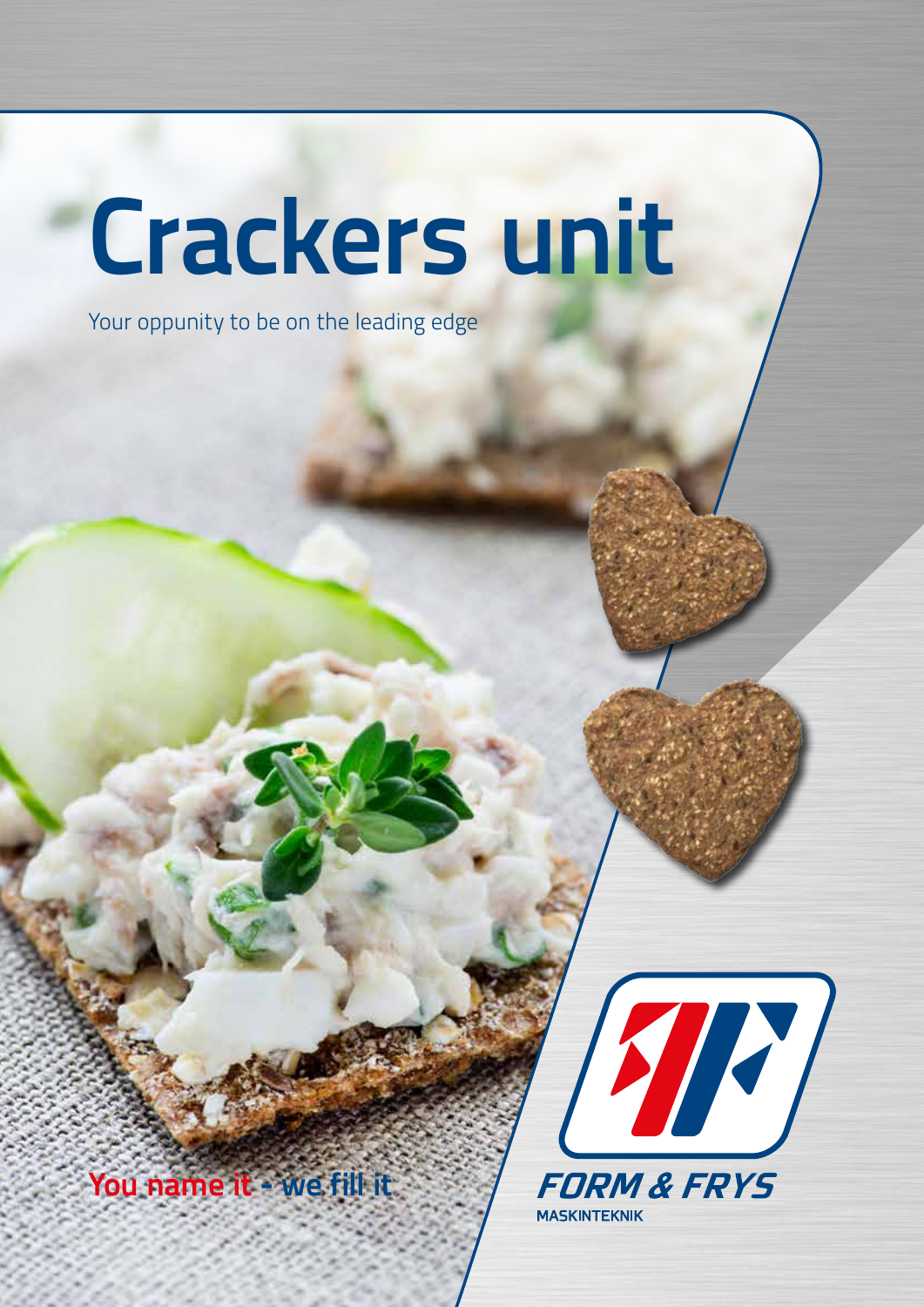## **Crackers unit**

Your oppunity to be on the leading edge

**You name it - we fill it**



**MASKINTEKNIK**